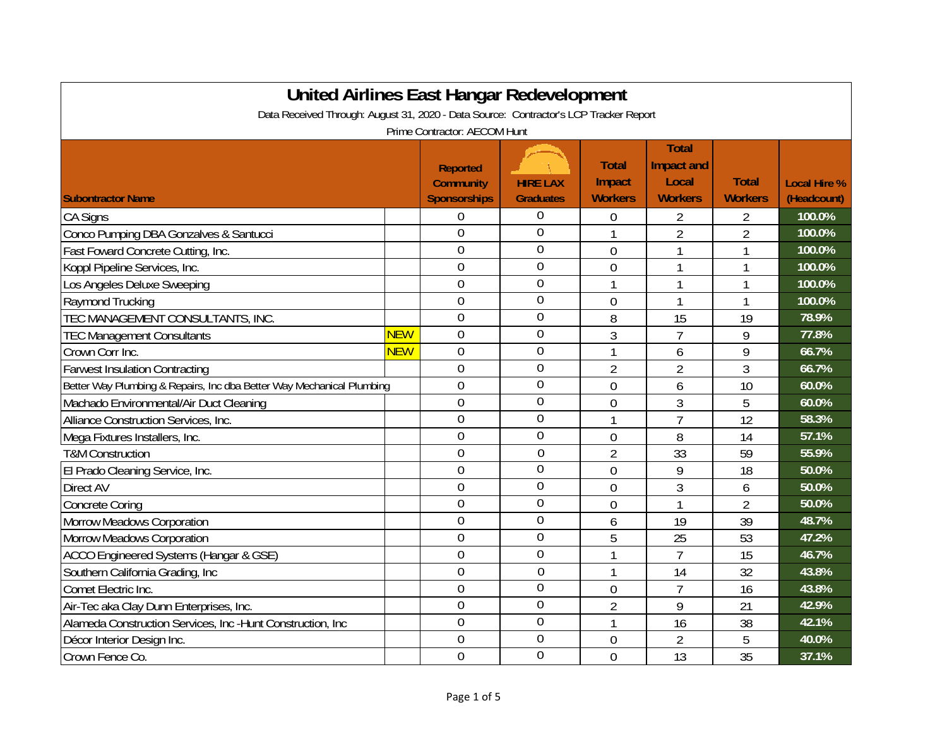| United Airlines East Hangar Redevelopment                                             |            |                                                            |                                     |                                          |                                                       |                                |                                    |  |
|---------------------------------------------------------------------------------------|------------|------------------------------------------------------------|-------------------------------------|------------------------------------------|-------------------------------------------------------|--------------------------------|------------------------------------|--|
| Data Received Through: August 31, 2020 - Data Source: Contractor's LCP Tracker Report |            |                                                            |                                     |                                          |                                                       |                                |                                    |  |
| Prime Contractor: AECOM Hunt                                                          |            |                                                            |                                     |                                          |                                                       |                                |                                    |  |
| <b>Subontractor Name</b>                                                              |            | <b>Reported</b><br><b>Community</b><br><b>Sponsorships</b> | <b>HIRE LAX</b><br><b>Graduates</b> | <b>Total</b><br>Impact<br><b>Workers</b> | <b>Total</b><br>Impact and<br>Local<br><b>Workers</b> | <b>Total</b><br><b>Workers</b> | <b>Local Hire %</b><br>(Headcount) |  |
| <b>CA Signs</b>                                                                       |            | 0                                                          | 0                                   | 0                                        | 2                                                     | 2                              | 100.0%                             |  |
| Conco Pumping DBA Gonzalves & Santucci                                                |            | $\overline{0}$                                             | $\mathbf 0$                         |                                          | $\overline{2}$                                        | $\overline{2}$                 | 100.0%                             |  |
| Fast Foward Concrete Cutting, Inc.                                                    |            | $\overline{0}$                                             | $\mathbf 0$                         | $\overline{0}$                           | 1                                                     | 1                              | 100.0%                             |  |
| Koppl Pipeline Services, Inc.                                                         |            | $\overline{0}$                                             | $\overline{0}$                      | $\mathbf 0$                              | 1                                                     | 1                              | 100.0%                             |  |
| Los Angeles Deluxe Sweeping                                                           |            | $\overline{0}$                                             | $\overline{0}$                      | 1                                        | 1                                                     | 1                              | 100.0%                             |  |
| Raymond Trucking                                                                      |            | $\overline{0}$                                             | $\overline{0}$                      | $\overline{0}$                           | 1                                                     | 1                              | 100.0%                             |  |
| TEC MANAGEMENT CONSULTANTS, INC.                                                      |            | $\overline{0}$                                             | $\mathbf 0$                         | 8                                        | 15                                                    | 19                             | 78.9%                              |  |
| <b>TEC Management Consultants</b>                                                     | <b>NEW</b> | $\overline{0}$                                             | $\mathbf 0$                         | 3                                        | $\overline{7}$                                        | 9                              | 77.8%                              |  |
| Crown Corr Inc.                                                                       | <b>NEW</b> | $\overline{0}$                                             | $\overline{0}$                      |                                          | 6                                                     | 9                              | 66.7%                              |  |
| <b>Farwest Insulation Contracting</b>                                                 |            | $\overline{0}$                                             | $\mathbf 0$                         | 2                                        | $\overline{2}$                                        | 3                              | 66.7%                              |  |
| Better Way Plumbing & Repairs, Inc dba Better Way Mechanical Plumbing                 |            | $\overline{0}$                                             | $\overline{0}$                      | $\overline{0}$                           | 6                                                     | 10                             | 60.0%                              |  |
| Machado Environmental/Air Duct Cleaning                                               |            | $\overline{0}$                                             | $\overline{0}$                      | $\overline{0}$                           | 3                                                     | 5                              | 60.0%                              |  |
| Alliance Construction Services, Inc.                                                  |            | $\overline{0}$                                             | $\mathbf 0$                         | 1                                        | $\overline{7}$                                        | 12                             | 58.3%                              |  |
| Mega Fixtures Installers, Inc.                                                        |            | $\overline{0}$                                             | $\overline{0}$                      | $\mathbf 0$                              | 8                                                     | 14                             | 57.1%                              |  |
| <b>T&amp;M Construction</b>                                                           |            | $\overline{0}$                                             | $\overline{0}$                      | $\overline{2}$                           | 33                                                    | 59                             | 55.9%                              |  |
| El Prado Cleaning Service, Inc.                                                       |            | $\overline{0}$                                             | $\overline{0}$                      | $\overline{0}$                           | 9                                                     | 18                             | 50.0%                              |  |
| Direct AV                                                                             |            | $\overline{0}$                                             | $\overline{0}$                      | $\overline{0}$                           | 3                                                     | 6                              | 50.0%                              |  |
| <b>Concrete Coring</b>                                                                |            | $\overline{0}$                                             | $\overline{0}$                      | $\overline{0}$                           | 1                                                     | $\overline{2}$                 | 50.0%                              |  |
| <b>Morrow Meadows Corporation</b>                                                     |            | $\overline{0}$                                             | $\mathbf 0$                         | 6                                        | 19                                                    | 39                             | 48.7%                              |  |
| <b>Morrow Meadows Corporation</b>                                                     |            | $\overline{0}$                                             | $\mathbf 0$                         | 5                                        | 25                                                    | 53                             | 47.2%                              |  |
| ACCO Engineered Systems (Hangar & GSE)                                                |            | $\overline{0}$                                             | $\overline{0}$                      | 1                                        | $\overline{7}$                                        | 15                             | 46.7%                              |  |
| Southern California Grading, Inc                                                      |            | $\overline{0}$                                             | $\overline{0}$                      | 1                                        | 14                                                    | 32                             | 43.8%                              |  |
| Comet Electric Inc.                                                                   |            | $\overline{0}$                                             | $\overline{0}$                      | $\overline{0}$                           | $\overline{7}$                                        | 16                             | 43.8%                              |  |
| Air-Tec aka Clay Dunn Enterprises, Inc.                                               |            | $\mathbf 0$                                                | $\overline{0}$                      | $\overline{2}$                           | 9                                                     | 21                             | 42.9%                              |  |
| Alameda Construction Services, Inc -Hunt Construction, Inc                            |            | $\overline{0}$                                             | $\overline{0}$                      | 1                                        | 16                                                    | 38                             | 42.1%                              |  |
| Décor Interior Design Inc.                                                            |            | $\overline{0}$                                             | $\mathbf 0$                         | $\mathbf 0$                              | $\overline{2}$                                        | 5                              | 40.0%                              |  |
| Crown Fence Co.                                                                       |            | $\overline{0}$                                             | $\overline{0}$                      | $\overline{0}$                           | 13                                                    | 35                             | 37.1%                              |  |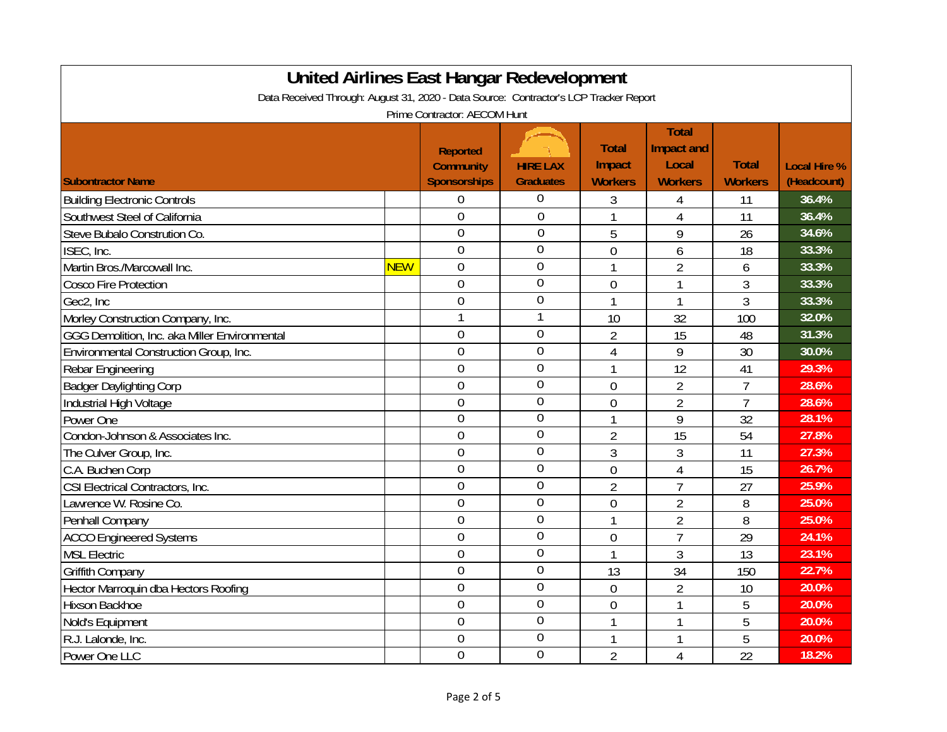| <b>United Airlines East Hangar Redevelopment</b>                                      |            |                                                            |                                     |                                          |                                                              |                                |                                    |  |
|---------------------------------------------------------------------------------------|------------|------------------------------------------------------------|-------------------------------------|------------------------------------------|--------------------------------------------------------------|--------------------------------|------------------------------------|--|
| Data Received Through: August 31, 2020 - Data Source: Contractor's LCP Tracker Report |            |                                                            |                                     |                                          |                                                              |                                |                                    |  |
| Prime Contractor: AECOM Hunt                                                          |            |                                                            |                                     |                                          |                                                              |                                |                                    |  |
| <b>Subontractor Name</b>                                                              |            | <b>Reported</b><br><b>Community</b><br><b>Sponsorships</b> | <b>HIRE LAX</b><br><b>Graduates</b> | <b>Total</b><br>Impact<br><b>Workers</b> | <b>Total</b><br><b>Impact and</b><br>Local<br><b>Workers</b> | <b>Total</b><br><b>Workers</b> | <b>Local Hire %</b><br>(Headcount) |  |
| <b>Building Electronic Controls</b>                                                   |            | 0                                                          | 0                                   | 3                                        | 4                                                            | 11                             | 36.4%                              |  |
| Southwest Steel of California                                                         |            | $\overline{0}$                                             | $\mathbf 0$                         | 1                                        | $\overline{4}$                                               | 11                             | 36.4%                              |  |
| Steve Bubalo Constrution Co.                                                          |            | $\mathbf 0$                                                | $\mathbf 0$                         | 5                                        | 9                                                            | 26                             | 34.6%                              |  |
| ISEC, Inc.                                                                            |            | $\overline{0}$                                             | $\overline{0}$                      | $\overline{0}$                           | 6                                                            | 18                             | 33.3%                              |  |
| Martin Bros./Marcowall Inc.                                                           | <b>NEW</b> | $\overline{0}$                                             | $\overline{0}$                      | 1                                        | $\overline{2}$                                               | 6                              | 33.3%                              |  |
| <b>Cosco Fire Protection</b>                                                          |            | $\overline{0}$                                             | $\overline{0}$                      | $\mathbf{0}$                             | $\mathbf{1}$                                                 | 3                              | 33.3%                              |  |
| Gec2, Inc                                                                             |            | $\overline{0}$                                             | $\mathbf 0$                         | 1                                        | $\mathbf{1}$                                                 | $\overline{3}$                 | 33.3%                              |  |
| Morley Construction Company, Inc.                                                     |            | $\mathbf{1}$                                               |                                     | 10                                       | 32                                                           | 100                            | 32.0%                              |  |
| GGG Demolition, Inc. aka Miller Environmental                                         |            | $\mathbf 0$                                                | $\overline{0}$                      | 2                                        | 15                                                           | 48                             | 31.3%                              |  |
| Environmental Construction Group, Inc.                                                |            | $\overline{0}$                                             | $\overline{0}$                      | $\overline{4}$                           | 9                                                            | 30                             | 30.0%                              |  |
| <b>Rebar Engineering</b>                                                              |            | $\overline{0}$                                             | $\overline{0}$                      | 1                                        | 12                                                           | 41                             | 29.3%                              |  |
| <b>Badger Daylighting Corp</b>                                                        |            | $\overline{0}$                                             | $\mathbf 0$                         | 0                                        | $\overline{2}$                                               | $\overline{7}$                 | 28.6%                              |  |
| Industrial High Voltage                                                               |            | $\mathbf{0}$                                               | $\overline{0}$                      | $\overline{0}$                           | $\overline{2}$                                               | $\overline{7}$                 | 28.6%                              |  |
| Power One                                                                             |            | $\overline{0}$                                             | $\overline{0}$                      | 1                                        | 9                                                            | 32                             | 28.1%                              |  |
| Condon-Johnson & Associates Inc.                                                      |            | $\overline{0}$                                             | $\mathbf 0$                         | $\overline{2}$                           | 15                                                           | 54                             | 27.8%                              |  |
| The Culver Group, Inc.                                                                |            | $\overline{0}$                                             | $\mathbf 0$                         | 3                                        | 3                                                            | 11                             | 27.3%                              |  |
| C.A. Buchen Corp                                                                      |            | $\overline{0}$                                             | $\overline{0}$                      | $\overline{0}$                           | $\overline{4}$                                               | 15                             | 26.7%                              |  |
| CSI Electrical Contractors, Inc.                                                      |            | $\overline{0}$                                             | $\mathbf 0$                         | $\overline{2}$                           | $\overline{7}$                                               | 27                             | 25.9%                              |  |
| Lawrence W. Rosine Co.                                                                |            | $\mathbf 0$                                                | 0                                   | $\mathbf 0$                              | $\overline{2}$                                               | 8                              | 25.0%                              |  |
| Penhall Company                                                                       |            | $\overline{0}$                                             | $\overline{0}$                      | 1                                        | $\overline{2}$                                               | 8                              | 25.0%                              |  |
| <b>ACCO Engineered Systems</b>                                                        |            | $\mathbf 0$                                                | $\overline{0}$                      | $\mathbf 0$                              | $\overline{7}$                                               | 29                             | 24.1%                              |  |
| <b>MSL Electric</b>                                                                   |            | $\Omega$                                                   | $\overline{0}$                      | 1                                        | 3                                                            | 13                             | 23.1%                              |  |
| <b>Griffith Company</b>                                                               |            | $\overline{0}$                                             | $\overline{0}$                      | 13                                       | 34                                                           | 150                            | 22.7%                              |  |
| Hector Marroquin dba Hectors Roofing                                                  |            | $\overline{0}$                                             | $\mathbf 0$                         | $\overline{0}$                           | $\overline{2}$                                               | 10                             | 20.0%                              |  |
| Hixson Backhoe                                                                        |            | $\mathbf 0$                                                | $\mathbf 0$                         | $\overline{0}$                           | $\mathbf{1}$                                                 | 5                              | 20.0%                              |  |
| Nold's Equipment                                                                      |            | $\overline{0}$                                             | $\mathbf 0$                         | 1                                        | 1                                                            | 5                              | 20.0%                              |  |
| R.J. Lalonde, Inc.                                                                    |            | $\overline{0}$                                             | $\overline{0}$                      | 1                                        | 1                                                            | 5                              | 20.0%                              |  |
| Power One LLC                                                                         |            | $\overline{0}$                                             | $\overline{0}$                      | $\overline{2}$                           | $\overline{4}$                                               | 22                             | 18.2%                              |  |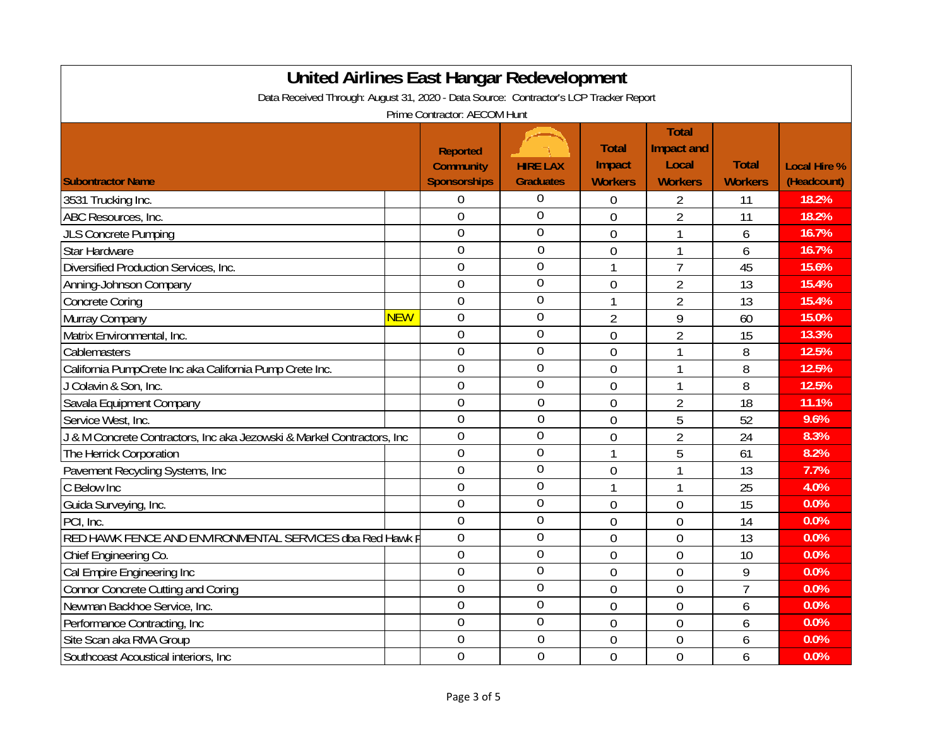| <b>United Airlines East Hangar Redevelopment</b>                                      |            |                                                            |                                     |                                          |                                                       |                                |                                    |  |
|---------------------------------------------------------------------------------------|------------|------------------------------------------------------------|-------------------------------------|------------------------------------------|-------------------------------------------------------|--------------------------------|------------------------------------|--|
| Data Received Through: August 31, 2020 - Data Source: Contractor's LCP Tracker Report |            |                                                            |                                     |                                          |                                                       |                                |                                    |  |
| Prime Contractor: AECOM Hunt                                                          |            |                                                            |                                     |                                          |                                                       |                                |                                    |  |
| <b>Subontractor Name</b>                                                              |            | <b>Reported</b><br><b>Community</b><br><b>Sponsorships</b> | <b>HIRE LAX</b><br><b>Graduates</b> | <b>Total</b><br>Impact<br><b>Workers</b> | <b>Total</b><br>Impact and<br>Local<br><b>Workers</b> | <b>Total</b><br><b>Workers</b> | <b>Local Hire %</b><br>(Headcount) |  |
| 3531 Trucking Inc.                                                                    |            | 0                                                          | 0                                   | 0                                        | 2                                                     | 11                             | 18.2%                              |  |
| ABC Resources, Inc.                                                                   |            | $\overline{0}$                                             | 0                                   | $\overline{0}$                           | $\overline{2}$                                        | 11                             | 18.2%                              |  |
| <b>JLS Concrete Pumping</b>                                                           |            | $\overline{0}$                                             | $\overline{0}$                      | $\overline{0}$                           | 1                                                     | 6                              | 16.7%                              |  |
| <b>Star Hardware</b>                                                                  |            | $\overline{0}$                                             | $\overline{0}$                      | $\overline{0}$                           | 1                                                     | 6                              | 16.7%                              |  |
| Diversified Production Services, Inc.                                                 |            | $\overline{0}$                                             | $\overline{0}$                      | 1                                        | $\overline{7}$                                        | 45                             | 15.6%                              |  |
| Anning-Johnson Company                                                                |            | $\overline{0}$                                             | 0                                   | $\overline{0}$                           | $\overline{2}$                                        | 13                             | 15.4%                              |  |
| <b>Concrete Coring</b>                                                                |            | $\overline{0}$                                             | $\overline{0}$                      | $\mathbf{1}$                             | $\overline{2}$                                        | 13                             | 15.4%                              |  |
| Murray Company                                                                        | <b>NEW</b> | $\mathbf 0$                                                | $\overline{0}$                      | $\overline{2}$                           | 9                                                     | 60                             | 15.0%                              |  |
| Matrix Environmental, Inc.                                                            |            | $\overline{0}$                                             | $\overline{0}$                      | $\overline{0}$                           | $\overline{2}$                                        | 15                             | 13.3%                              |  |
| Cablemasters                                                                          |            | $\overline{0}$                                             | $\overline{0}$                      | $\mathbf 0$                              | 1                                                     | 8                              | 12.5%                              |  |
| California PumpCrete Inc aka California Pump Crete Inc.                               |            | $\overline{0}$                                             | $\overline{0}$                      | $\overline{0}$                           |                                                       | 8                              | 12.5%                              |  |
| J Colavin & Son, Inc.                                                                 |            | $\overline{0}$                                             | $\overline{0}$                      | $\overline{0}$                           | 1                                                     | 8                              | 12.5%                              |  |
| Savala Equipment Company                                                              |            | $\overline{0}$                                             | $\overline{0}$                      | $\overline{0}$                           | $\overline{2}$                                        | 18                             | 11.1%                              |  |
| Service West, Inc.                                                                    |            | $\mathbf 0$                                                | $\overline{0}$                      | $\overline{0}$                           | 5                                                     | 52                             | 9.6%                               |  |
| & M Concrete Contractors, Inc aka Jezowski & Markel Contractors, Inc                  |            | $\overline{0}$                                             | $\overline{0}$                      | $\overline{0}$                           | $\overline{2}$                                        | 24                             | 8.3%                               |  |
| The Herrick Corporation                                                               |            | $\mathbf 0$                                                | $\overline{0}$                      | $\mathbf{1}$                             | 5                                                     | 61                             | 8.2%                               |  |
| Pavement Recycling Systems, Inc                                                       |            | $\overline{0}$                                             | $\mathbf 0$                         | $\overline{0}$                           | $\mathbf{1}$                                          | 13                             | 7.7%                               |  |
| C Below Inc                                                                           |            | $\overline{0}$                                             | $\overline{0}$                      | 1                                        | $\mathbf{1}$                                          | 25                             | 4.0%                               |  |
| Guida Surveying, Inc.                                                                 |            | $\overline{0}$                                             | 0                                   | $\overline{0}$                           | $\overline{0}$                                        | 15                             | 0.0%                               |  |
| PCI, Inc.                                                                             |            | $\overline{0}$                                             | $\overline{0}$                      | $\overline{0}$                           | $\overline{0}$                                        | 14                             | 0.0%                               |  |
| RED HAWK FENCE AND ENVIRONMENTAL SERVICES dba Red Hawk F                              |            | $\overline{0}$                                             | $\overline{0}$                      | $\overline{0}$                           | $\overline{0}$                                        | 13                             | 0.0%                               |  |
| Chief Engineering Co.                                                                 |            | $\overline{0}$                                             | $\overline{0}$                      | $\overline{0}$                           | $\overline{0}$                                        | 10                             | 0.0%                               |  |
| Cal Empire Engineering Inc                                                            |            | $\overline{0}$                                             | $\overline{0}$                      | $\overline{0}$                           | $\mathbf 0$                                           | 9                              | 0.0%                               |  |
| <b>Connor Concrete Cutting and Coring</b>                                             |            | $\overline{0}$                                             | $\overline{0}$                      | $\overline{0}$                           | $\mathbf 0$                                           | $\overline{7}$                 | 0.0%                               |  |
| Newman Backhoe Service, Inc.                                                          |            | $\overline{0}$                                             | $\overline{0}$                      | $\mathbf{0}$                             | $\mathbf 0$                                           | 6                              | 0.0%                               |  |
| Performance Contracting, Inc.                                                         |            | $\overline{0}$                                             | $\overline{0}$                      | $\overline{0}$                           | $\overline{0}$                                        | 6                              | 0.0%                               |  |
| Site Scan aka RMA Group                                                               |            | $\overline{0}$                                             | $\theta$                            | $\overline{0}$                           | $\mathbf{0}$                                          | 6                              | 0.0%                               |  |
| Southcoast Acoustical interiors, Inc.                                                 |            | $\overline{0}$                                             | $\overline{0}$                      | $\overline{0}$                           | $\overline{0}$                                        | 6                              | 0.0%                               |  |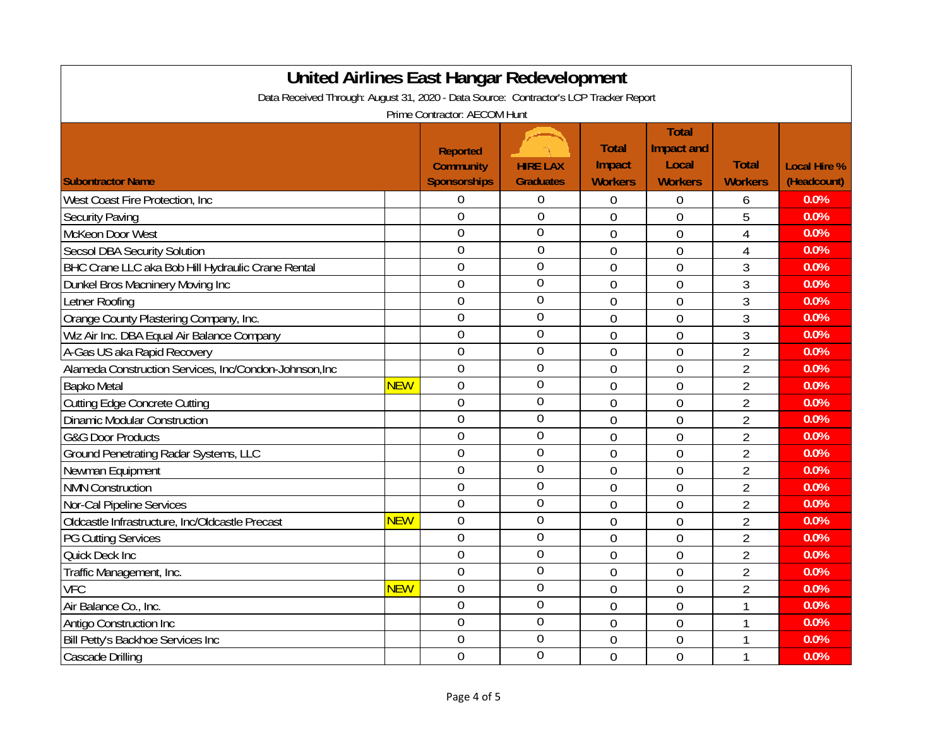| <b>United Airlines East Hangar Redevelopment</b>                                      |            |                                     |                  |                |                            |                |                     |  |
|---------------------------------------------------------------------------------------|------------|-------------------------------------|------------------|----------------|----------------------------|----------------|---------------------|--|
| Data Received Through: August 31, 2020 - Data Source: Contractor's LCP Tracker Report |            |                                     |                  |                |                            |                |                     |  |
| Prime Contractor: AECOM Hunt                                                          |            |                                     |                  |                |                            |                |                     |  |
|                                                                                       |            |                                     |                  | <b>Total</b>   | <b>Total</b><br>Impact and |                |                     |  |
|                                                                                       |            | <b>Reported</b><br><b>Community</b> | <b>HIRE LAX</b>  | Impact         | Local                      | <b>Total</b>   | <b>Local Hire %</b> |  |
| <b>Subontractor Name</b>                                                              |            | <b>Sponsorships</b>                 | <b>Graduates</b> | <b>Workers</b> | <b>Workers</b>             | <b>Workers</b> | (Headcount)         |  |
| West Coast Fire Protection, Inc.                                                      |            | 0                                   | $\theta$         | 0              | $\mathbf 0$                | 6              | 0.0%                |  |
| <b>Security Paving</b>                                                                |            | $\theta$                            | $\overline{0}$   | $\overline{0}$ | $\overline{0}$             | 5              | 0.0%                |  |
| McKeon Door West                                                                      |            | $\overline{0}$                      | $\overline{0}$   | $\overline{0}$ | $\overline{0}$             | $\overline{4}$ | 0.0%                |  |
| <b>Secsol DBA Security Solution</b>                                                   |            | $\overline{0}$                      | $\overline{0}$   | $\overline{0}$ | $\overline{0}$             | $\overline{4}$ | 0.0%                |  |
| BHC Crane LLC aka Bob Hill Hydraulic Crane Rental                                     |            | $\mathbf 0$                         | $\overline{0}$   | $\overline{0}$ | $\overline{0}$             | 3              | 0.0%                |  |
| Dunkel Bros Macninery Moving Inc                                                      |            | $\overline{0}$                      | $\mathbf 0$      | $\overline{0}$ | $\overline{0}$             | 3              | 0.0%                |  |
| Letner Roofing                                                                        |            | $\overline{0}$                      | $\overline{0}$   | $\overline{0}$ | $\overline{0}$             | 3              | 0.0%                |  |
| Orange County Plastering Company, Inc.                                                |            | $\overline{0}$                      | $\overline{0}$   | $\overline{0}$ | $\overline{0}$             | 3              | 0.0%                |  |
| Wiz Air Inc. DBA Equal Air Balance Company                                            |            | $\overline{0}$                      | $\overline{0}$   | $\overline{0}$ | $\overline{0}$             | 3              | 0.0%                |  |
| A-Gas US aka Rapid Recovery                                                           |            | $\overline{0}$                      | 0                | $\overline{0}$ | $\overline{0}$             | $\overline{2}$ | 0.0%                |  |
| Alameda Construction Services, Inc/Condon-Johnson, Inc                                |            | $\overline{0}$                      | 0                | $\overline{0}$ | $\overline{0}$             | $\overline{2}$ | 0.0%                |  |
| <b>Bapko Metal</b>                                                                    | <b>NEW</b> | $\mathbf 0$                         | $\mathbf{0}$     | $\overline{0}$ | $\theta$                   | $\overline{2}$ | 0.0%                |  |
| <b>Cutting Edge Concrete Cutting</b>                                                  |            | $\overline{0}$                      | $\theta$         | $\overline{0}$ | $\mathbf{0}$               | $\overline{2}$ | 0.0%                |  |
| <b>Dinamic Modular Construction</b>                                                   |            | $\mathbf 0$                         | $\overline{0}$   | $\overline{0}$ | $\mathbf{0}$               | $\overline{2}$ | 0.0%                |  |
| <b>G&amp;G Door Products</b>                                                          |            | $\overline{0}$                      | $\overline{0}$   | $\overline{0}$ | $\mathbf 0$                | $\overline{2}$ | 0.0%                |  |
| Ground Penetrating Radar Systems, LLC                                                 |            | $\mathbf 0$                         | $\overline{0}$   | $\mathbf{0}$   | $\mathbf 0$                | $\overline{2}$ | 0.0%                |  |
| Newman Equipment                                                                      |            | $\overline{0}$                      | $\mathbf 0$      | $\overline{0}$ | $\mathbf 0$                | $\overline{2}$ | 0.0%                |  |
| <b>NMN Construction</b>                                                               |            | $\overline{0}$                      | $\overline{0}$   | $\mathbf{0}$   | $\mathbf 0$                | $\overline{2}$ | 0.0%                |  |
| Nor-Cal Pipeline Services                                                             |            | $\overline{0}$                      | $\overline{0}$   | $\overline{0}$ | $\mathbf 0$                | $\overline{2}$ | 0.0%                |  |
| Oldcastle Infrastructure, Inc/Oldcastle Precast                                       | <b>NEW</b> | $\overline{0}$                      | $\overline{0}$   | $\overline{0}$ | $\overline{0}$             | $\overline{2}$ | 0.0%                |  |
| <b>PG Cutting Services</b>                                                            |            | $\overline{0}$                      | $\overline{0}$   | $\overline{0}$ | $\overline{0}$             | $\overline{2}$ | 0.0%                |  |
| Quick Deck Inc                                                                        |            | $\overline{0}$                      | $\overline{0}$   | $\overline{0}$ | $\overline{0}$             | $\overline{2}$ | 0.0%                |  |
| Traffic Management, Inc.                                                              |            | $\mathbf 0$                         | $\mathbf 0$      | $\overline{0}$ | $\overline{0}$             | $\overline{2}$ | 0.0%                |  |
| <b>VFC</b>                                                                            | <b>NEW</b> | $\overline{0}$                      | $\overline{0}$   | $\overline{0}$ | $\overline{0}$             | $\overline{2}$ | 0.0%                |  |
| Air Balance Co., Inc.                                                                 |            | $\mathbf 0$                         | $\mathbf 0$      | $\overline{0}$ | $\overline{0}$             | $\mathbf{1}$   | 0.0%                |  |
| <b>Antigo Construction Inc</b>                                                        |            | $\overline{0}$                      | $\mathbf{0}$     | $\overline{0}$ | $\mathbf 0$                | $\mathbf{1}$   | 0.0%                |  |
| Bill Petty's Backhoe Services Inc                                                     |            | $\mathbf 0$                         | $\overline{0}$   | $\mathbf 0$    | $\mathbf 0$                | 1              | 0.0%                |  |
| <b>Cascade Drilling</b>                                                               |            | $\overline{0}$                      | $\overline{0}$   | $\overline{0}$ | $\overline{0}$             | 1              | 0.0%                |  |